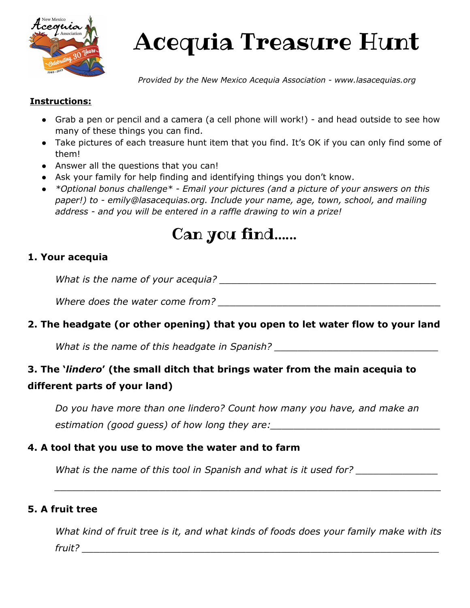

# Acequia Treasure Hunt

*Provided by the New Mexico Acequia Association - www.lasacequias.org*

#### **Instructions:**

- Grab a pen or pencil and a camera (a cell phone will work!) and head outside to see how many of these things you can find.
- Take pictures of each treasure hunt item that you find. It's OK if you can only find some of them!
- Answer all the questions that you can!
- Ask your family for help finding and identifying things you don't know.
- *● \*Optional bonus challenge\* - Email your pictures (and a picture of your answers on this paper!) to - emily@lasacequias.org. Include your name, age, town, school, and mailing address - and you will be entered in a raffle drawing to win a prize!*

# Can you find…...

#### **1. Your acequia**

What is the name of your acequia? **What is the name of your acequia?** 

*Where does the water come from?* The same of the same of the same of the same of the same of the same of the same of the same of the same of the same of the same of the same of the same of the same of the same of the same

### **2. The headgate (or other opening) that you open to let water flow to your land**

What is the name of this headgate in Spanish? \_\_\_\_\_\_\_\_\_\_\_\_\_\_\_\_\_\_\_\_\_\_\_\_\_\_\_\_\_\_\_\_\_\_

# **3. The '***lindero***' (the small ditch that brings water from the main acequia to different parts of your land)**

*Do you have more than one lindero? Count how many you have, and make an* estimation (good guess) of how long they are:

#### **4. A tool that you use to move the water and to farm**

What is the name of this tool in Spanish and what is it used for?

#### **5. A fruit tree**

*What kind of fruit tree is it, and what kinds of foods does your family make with its fruit? \_\_\_\_\_\_\_\_\_\_\_\_\_\_\_\_\_\_\_\_\_\_\_\_\_\_\_\_\_\_\_\_\_\_\_\_\_\_\_\_\_\_\_\_\_\_\_\_\_\_\_\_\_\_\_\_\_\_\_\_\_*

*\_\_\_\_\_\_\_\_\_\_\_\_\_\_\_\_\_\_\_\_\_\_\_\_\_\_\_\_\_\_\_\_\_\_\_\_\_\_\_\_\_\_\_\_\_\_\_\_\_\_\_\_\_\_\_\_\_\_\_\_\_\_\_\_\_\_*